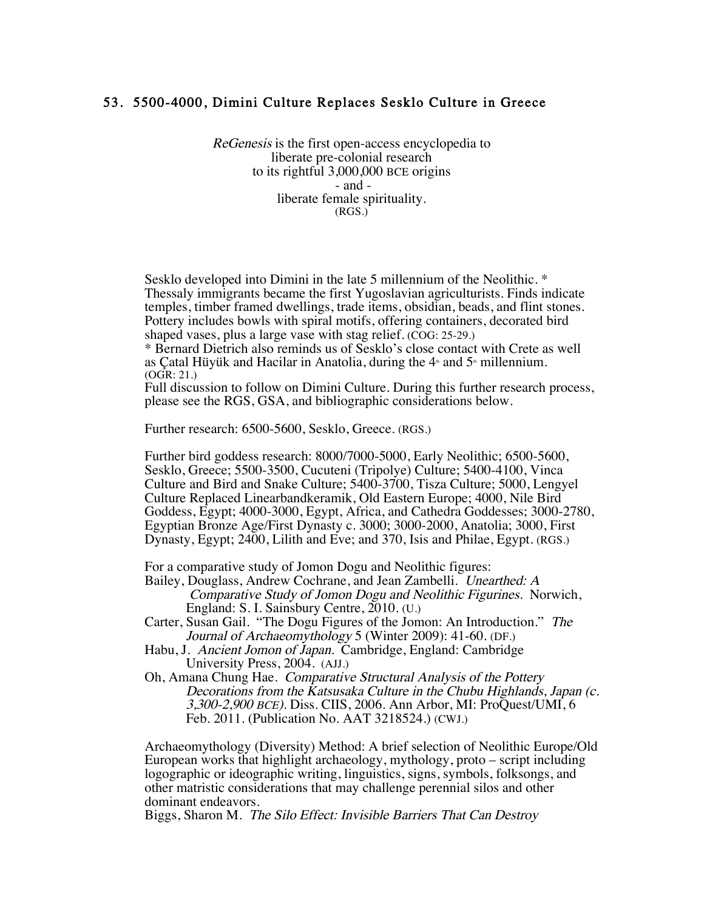## 53. 5500-4000, Dimini Culture Replaces Sesklo Culture in Greece

ReGenesis is the first open-access encyclopedia to liberate pre-colonial research to its rightful 3,000,000 BCE origins - and liberate female spirituality. (RGS.)

Sesklo developed into Dimini in the late 5 millennium of the Neolithic. \* Thessaly immigrants became the first Yugoslavian agriculturists. Finds indicate temples, timber framed dwellings, trade items, obsidian, beads, and flint stones. Pottery includes bowls with spiral motifs, offering containers, decorated bird shaped vases, plus a large vase with stag relief. (COG: 25-29.)

\* Bernard Dietrich also reminds us of Sesklo's close contact with Crete as well as Çatal Hüyük and Hacilar in Anatolia, during the  $4<sup>*</sup>$  and  $5<sup>*</sup>$  millennium. (OGR: 21.)

Full discussion to follow on Dimini Culture. During this further research process, please see the RGS, GSA, and bibliographic considerations below.

Further research: 6500-5600, Sesklo, Greece. (RGS.)

Further bird goddess research: 8000/7000-5000, Early Neolithic; 6500-5600, Sesklo, Greece; 5500-3500, Cucuteni (Tripolye) Culture; 5400-4100, Vinca Culture and Bird and Snake Culture; 5400-3700, Tisza Culture; 5000, Lengyel Culture Replaced Linearbandkeramik, Old Eastern Europe; 4000, Nile Bird Goddess, Egypt; 4000-3000, Egypt, Africa, and Cathedra Goddesses; 3000-2780, Egyptian Bronze Age/First Dynasty c. 3000; 3000-2000, Anatolia; 3000, First Dynasty, Egypt; 2400, Lilith and Eve; and 370, Isis and Philae, Egypt. (RGS.)

For a comparative study of Jomon Dogu and Neolithic figures:

Bailey, Douglass, Andrew Cochrane, and Jean Zambelli. Unearthed: A Comparative Study of Jomon Dogu and Neolithic Figurines. Norwich, England: S. I. Sainsbury Centre, 2010. (U.)

Carter, Susan Gail. "The Dogu Figures of the Jomon: An Introduction." The Journal of Archaeomythology 5 (Winter 2009): 41-60. (DF.)

- Habu, J. Ancient Jomon of Japan. Cambridge, England: Cambridge University Press, 2004. (AJJ.)
- Oh, Amana Chung Hae. Comparative Structural Analysis of the Pottery Decorations from the Katsusaka Culture in the Chubu Highlands, Japan (c. 3,300-2,900 BCE). Diss. CIIS, 2006. Ann Arbor, MI: ProQuest/UMI, 6 Feb. 2011. (Publication No. AAT 3218524.) (CWJ.)

Archaeomythology (Diversity) Method: A brief selection of Neolithic Europe/Old European works that highlight archaeology, mythology, proto – script including logographic or ideographic writing, linguistics, signs, symbols, folksongs, and other matristic considerations that may challenge perennial silos and other dominant endeavors.

Biggs, Sharon M. The Silo Effect: Invisible Barriers That Can Destroy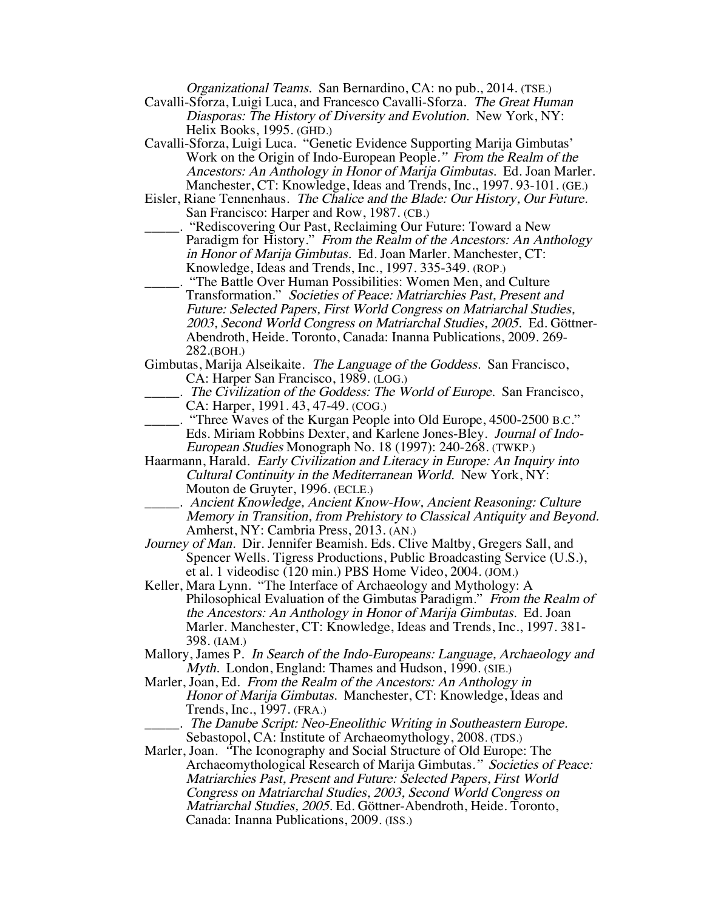Organizational Teams. San Bernardino, CA: no pub., 2014. (TSE.)

- Cavalli-Sforza, Luigi Luca, and Francesco Cavalli-Sforza. The Great Human Diasporas: The History of Diversity and Evolution. New York, NY: Helix Books, 1995. (GHD.)
- Cavalli-Sforza, Luigi Luca. "Genetic Evidence Supporting Marija Gimbutas' Work on the Origin of Indo-European People." From the Realm of the Ancestors: An Anthology in Honor of Marija Gimbutas. Ed. Joan Marler. Manchester, CT: Knowledge, Ideas and Trends, Inc., 1997. 93-101. (GE.)
- Eisler, Riane Tennenhaus. The Chalice and the Blade: Our History, Our Future. San Francisco: Harper and Row, 1987. (CB.)
- \_\_\_\_\_. "Rediscovering Our Past, Reclaiming Our Future: Toward a New Paradigm for History." From the Realm of the Ancestors: An Anthology in Honor of Marija Gimbutas. Ed. Joan Marler. Manchester, CT: Knowledge, Ideas and Trends, Inc., 1997. 335-349. (ROP.)
- \_\_\_\_\_. "The Battle Over Human Possibilities: Women Men, and Culture Transformation." Societies of Peace: Matriarchies Past, Present and Future: Selected Papers, First World Congress on Matriarchal Studies, 2003, Second World Congress on Matriarchal Studies, 2005. Ed. Göttner-Abendroth, Heide. Toronto, Canada: Inanna Publications, 2009. 269- 282.(BOH.)
- Gimbutas, Marija Alseikaite. The Language of the Goddess. San Francisco, CA: Harper San Francisco, 1989. (LOG.)
	- \_\_\_\_\_. The Civilization of the Goddess: The World of Europe. San Francisco, CA: Harper, 1991. 43, 47-49. (COG.)
- \_\_\_\_\_. "Three Waves of the Kurgan People into Old Europe, 4500-2500 B.C." Eds. Miriam Robbins Dexter, and Karlene Jones-Bley. Journal of Indo-European Studies Monograph No. 18 (1997): 240-268. (TWKP.)
- Haarmann, Harald. Early Civilization and Literacy in Europe: An Inquiry into Cultural Continuity in the Mediterranean World. New York, NY: Mouton de Gruyter, 1996. (ECLE.)
- \_\_\_\_\_. Ancient Knowledge, Ancient Know-How, Ancient Reasoning: Culture Memory in Transition, from Prehistory to Classical Antiquity and Beyond. Amherst, NY: Cambria Press, 2013. (AN.)
- Journey of Man. Dir. Jennifer Beamish. Eds. Clive Maltby, Gregers Sall, and Spencer Wells. Tigress Productions, Public Broadcasting Service (U.S.), et al. 1 videodisc (120 min.) PBS Home Video, 2004. (JOM.)
- Keller, Mara Lynn. "The Interface of Archaeology and Mythology: A Philosophical Evaluation of the Gimbutas Paradigm." From the Realm of the Ancestors: An Anthology in Honor of Marija Gimbutas. Ed. Joan Marler. Manchester, CT: Knowledge, Ideas and Trends, Inc., 1997. 381- 398. (IAM.)
- Mallory, James P. In Search of the Indo-Europeans: Language, Archaeology and Myth. London, England: Thames and Hudson, 1990. (SIE.)
- Marler, Joan, Ed. From the Realm of the Ancestors: An Anthology in Honor of Marija Gimbutas. Manchester, CT: Knowledge, Ideas and Trends, Inc., 1997. (FRA.)
	- \_\_\_\_\_. The Danube Script: Neo-Eneolithic Writing in Southeastern Europe. Sebastopol, CA: Institute of Archaeomythology, 2008. (TDS.)
- Marler, Joan. "The Iconography and Social Structure of Old Europe: The Archaeomythological Research of Marija Gimbutas." Societies of Peace: Matriarchies Past, Present and Future: Selected Papers, First World Congress on Matriarchal Studies, 2003, Second World Congress on Matriarchal Studies, 2005. Ed. Göttner-Abendroth, Heide. Toronto, Canada: Inanna Publications, 2009. (ISS.)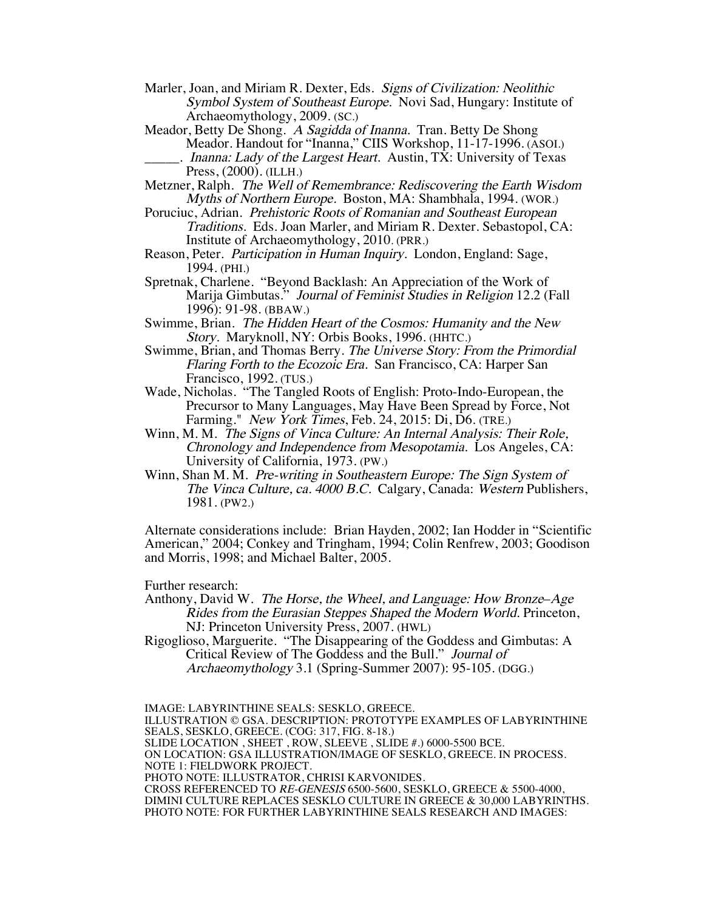- Marler, Joan, and Miriam R. Dexter, Eds. Signs of Civilization: Neolithic Symbol System of Southeast Europe. Novi Sad, Hungary: Institute of Archaeomythology, 2009. (SC.)
- Meador, Betty De Shong. A Sagidda of Inanna. Tran. Betty De Shong Meador. Handout for "Inanna," CIIS Workshop, 11-17-1996. (ASOI.)
	- . Inanna: Lady of the Largest Heart. Austin, TX: University of Texas Press, (2000). (ILLH.)
- Metzner, Ralph. The Well of Remembrance: Rediscovering the Earth Wisdom Myths of Northern Europe. Boston, MA: Shambhala, 1994. (WOR.)
- Poruciuc, Adrian. Prehistoric Roots of Romanian and Southeast European Traditions. Eds. Joan Marler, and Miriam R. Dexter. Sebastopol, CA: Institute of Archaeomythology, 2010. (PRR.)
- Reason, Peter. Participation in Human Inquiry. London, England: Sage, 1994. (PHI.)
- Spretnak, Charlene. "Beyond Backlash: An Appreciation of the Work of Marija Gimbutas." Journal of Feminist Studies in Religion 12.2 (Fall 1996): 91-98. (BBAW.)
- Swimme, Brian. The Hidden Heart of the Cosmos: Humanity and the New Story. Maryknoll, NY: Orbis Books, 1996. (HHTC.)
- Swimme, Brian, and Thomas Berry. The Universe Story: From the Primordial Flaring Forth to the Ecozoic Era. San Francisco, CA: Harper San Francisco, 1992. (TUS.)
- Wade, Nicholas. "The Tangled Roots of English: Proto-Indo-European, the Precursor to Many Languages, May Have Been Spread by Force, Not Farming." New York Times, Feb. 24, 2015: Di, D6. (TRE.)
- Winn, M. M. The Signs of Vinca Culture: An Internal Analysis: Their Role, Chronology and Independence from Mesopotamia. Los Angeles, CA: University of California, 1973. (PW.)
- Winn, Shan M. M. Pre-writing in Southeastern Europe: The Sign System of The Vinca Culture, ca. 4000 B.C. Calgary, Canada: Western Publishers, 1981. (PW2.)

Alternate considerations include: Brian Hayden, 2002; Ian Hodder in "Scientific American," 2004; Conkey and Tringham, 1994; Colin Renfrew, 2003; Goodison and Morris, 1998; and Michael Balter, 2005.

Further research:

Anthony, David W. The Horse, the Wheel, and Language: How Bronze–Age Rides from the Eurasian Steppes Shaped the Modern World. Princeton, NJ: Princeton University Press, 2007. (HWL)

Rigoglioso, Marguerite. "The Disappearing of the Goddess and Gimbutas: A Critical Review of The Goddess and the Bull." Journal of Archaeomythology 3.1 (Spring-Summer 2007): 95-105. (DGG.)

IMAGE: LABYRINTHINE SEALS: SESKLO, GREECE. ILLUSTRATION © GSA. DESCRIPTION: PROTOTYPE EXAMPLES OF LABYRINTHINE SEALS, SESKLO, GREECE. (COG: 317, FIG. 8-18.) SLIDE LOCATION , SHEET , ROW, SLEEVE , SLIDE #.) 6000-5500 BCE. ON LOCATION: GSA ILLUSTRATION/IMAGE OF SESKLO, GREECE. IN PROCESS. NOTE 1: FIELDWORK PROJECT. PHOTO NOTE: ILLUSTRATOR, CHRISI KARVONIDES. CROSS REFERENCED TO RE-GENESIS 6500-5600, SESKLO, GREECE & 5500-4000, DIMINI CULTURE REPLACES SESKLO CULTURE IN GREECE & 30,000 LABYRINTHS. PHOTO NOTE: FOR FURTHER LABYRINTHINE SEALS RESEARCH AND IMAGES: